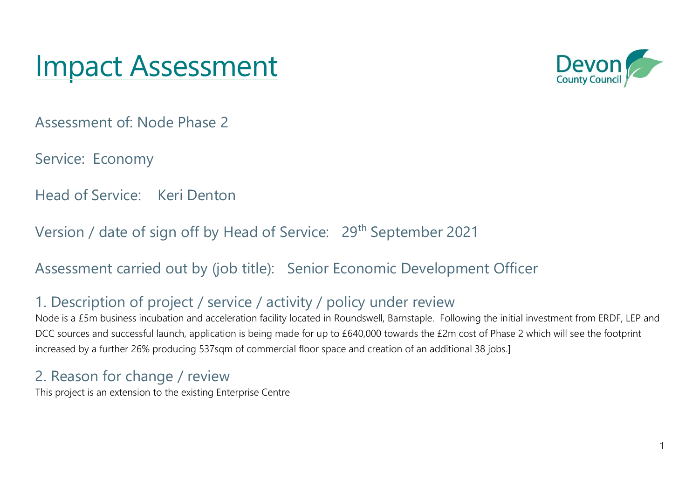# Impact Assessment



Assessment of: Node Phase 2

Service: Economy

Head of Service: Keri Denton

Version / date of sign off by Head of Service: 29<sup>th</sup> September 2021

Assessment carried out by (job title): Senior Economic Development Officer

### 1. Description of project / service / activity / policy under review

Node is a £5m business incubation and acceleration facility located in Roundswell, Barnstaple. Following the initial investment from ERDF, LEP and DCC sources and successful launch, application is being made for up to £640,000 towards the £2m cost of Phase 2 which will see the footprint increased by a further 26% producing 537sqm of commercial floor space and creation of an additional 38 jobs.]

### 2. Reason for change / review

This project is an extension to the existing Enterprise Centre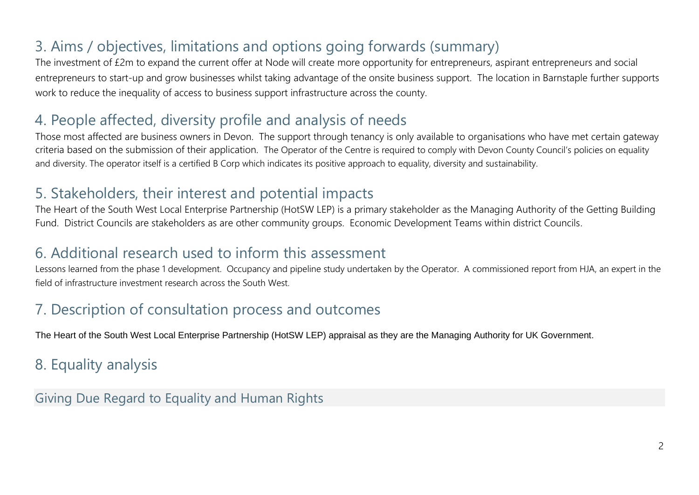# 3. Aims / objectives, limitations and options going forwards (summary)

The investment of £2m to expand the current offer at Node will create more opportunity for entrepreneurs, aspirant entrepreneurs and social entrepreneurs to start-up and grow businesses whilst taking advantage of the onsite business support. The location in Barnstaple further supports work to reduce the inequality of access to business support infrastructure across the county.

#### 4. People affected, diversity profile and analysis of needs

Those most affected are business owners in Devon. The support through tenancy is only available to organisations who have met certain gateway criteria based on the submission of their application. The Operator of the Centre is required to comply with Devon County Council's policies on equality and diversity. The operator itself is a certified B Corp which indicates its positive approach to equality, diversity and sustainability.

#### 5. Stakeholders, their interest and potential impacts

The Heart of the South West Local Enterprise Partnership (HotSW LEP) is a primary stakeholder as the Managing Authority of the Getting Building Fund. District Councils are stakeholders as are other community groups. Economic Development Teams within district Councils.

#### 6. Additional research used to inform this assessment

Lessons learned from the phase 1 development. Occupancy and pipeline study undertaken by the Operator. A commissioned report from HJA, an expert in the field of infrastructure investment research across the South West.

# 7. Description of consultation process and outcomes

The Heart of the South West Local Enterprise Partnership (HotSW LEP) appraisal as they are the Managing Authority for UK Government.

# 8. Equality analysis

Giving Due Regard to Equality and Human Rights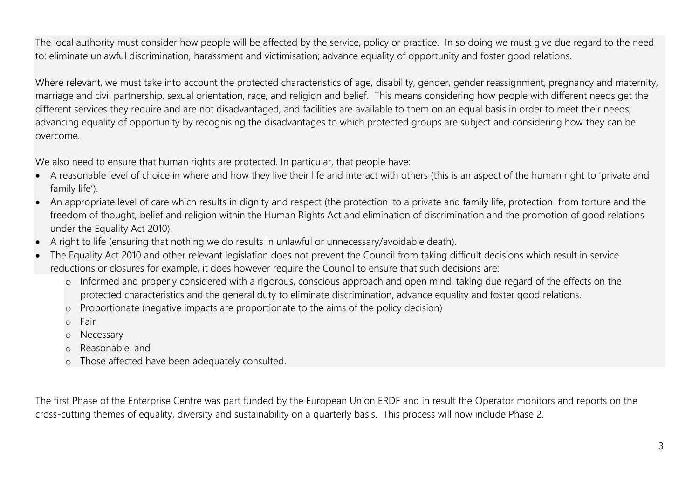The local authority must consider how people will be affected by the service, policy or practice. In so doing we must give due regard to the need to: eliminate unlawful discrimination, harassment and victimisation; advance equality of opportunity and foster good relations.

Where relevant, we must take into account the protected characteristics of age, disability, gender, gender reassignment, pregnancy and maternity, marriage and civil partnership, sexual orientation, race, and religion and belief. This means considering how people with different needs get the different services they require and are not disadvantaged, and facilities are available to them on an equal basis in order to meet their needs; advancing equality of opportunity by recognising the disadvantages to which protected groups are subject and considering how they can be overcome.

We also need to ensure that human rights are protected. In particular, that people have:

- A reasonable level of choice in where and how they live their life and interact with others (this is an aspect of the human right to 'private and family life').
- An appropriate level of care which results in dignity and respect (the protection to a private and family life, protection from torture and the freedom of thought, belief and religion within the Human Rights Act and elimination of discrimination and the promotion of good relations under the Equality Act 2010).
- A right to life (ensuring that nothing we do results in unlawful or unnecessary/avoidable death).
- The Equality Act 2010 and other relevant legislation does not prevent the Council from taking difficult decisions which result in service reductions or closures for example, it does however require the Council to ensure that such decisions are:
	- o Informed and properly considered with a rigorous, conscious approach and open mind, taking due regard of the effects on the protected characteristics and the general duty to eliminate discrimination, advance equality and foster good relations.
	- o Proportionate (negative impacts are proportionate to the aims of the policy decision)
	- o Fair
	- o Necessary
	- o Reasonable, and
	- o Those affected have been adequately consulted.

The first Phase of the Enterprise Centre was part funded by the European Union ERDF and in result the Operator monitors and reports on the cross-cutting themes of equality, diversity and sustainability on a quarterly basis. This process will now include Phase 2.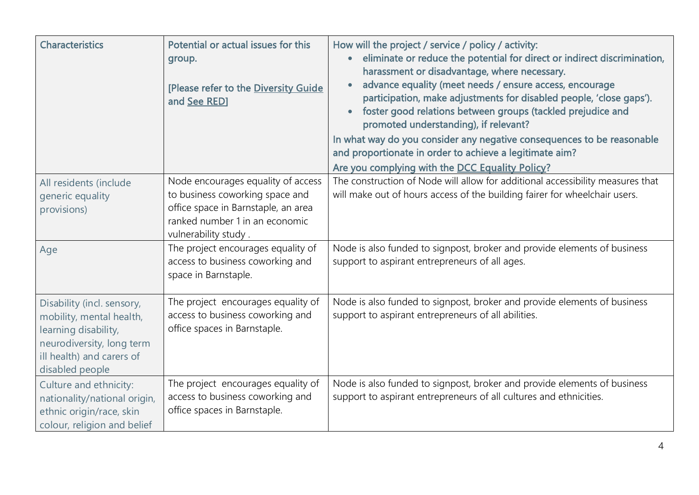| <b>Characteristics</b>                                                                                                                                      | Potential or actual issues for this<br>group.<br>[Please refer to the Diversity Guide<br>and See RED]                                                                  | How will the project / service / policy / activity:<br>eliminate or reduce the potential for direct or indirect discrimination,<br>$\bullet$<br>harassment or disadvantage, where necessary.<br>advance equality (meet needs / ensure access, encourage<br>$\bullet$<br>participation, make adjustments for disabled people, 'close gaps').<br>foster good relations between groups (tackled prejudice and<br>$\bullet$<br>promoted understanding), if relevant?<br>In what way do you consider any negative consequences to be reasonable<br>and proportionate in order to achieve a legitimate aim?<br>Are you complying with the DCC Equality Policy? |
|-------------------------------------------------------------------------------------------------------------------------------------------------------------|------------------------------------------------------------------------------------------------------------------------------------------------------------------------|----------------------------------------------------------------------------------------------------------------------------------------------------------------------------------------------------------------------------------------------------------------------------------------------------------------------------------------------------------------------------------------------------------------------------------------------------------------------------------------------------------------------------------------------------------------------------------------------------------------------------------------------------------|
| All residents (include<br>generic equality<br>provisions)                                                                                                   | Node encourages equality of access<br>to business coworking space and<br>office space in Barnstaple, an area<br>ranked number 1 in an economic<br>vulnerability study. | The construction of Node will allow for additional accessibility measures that<br>will make out of hours access of the building fairer for wheelchair users.                                                                                                                                                                                                                                                                                                                                                                                                                                                                                             |
| Age                                                                                                                                                         | The project encourages equality of<br>access to business coworking and<br>space in Barnstaple.                                                                         | Node is also funded to signpost, broker and provide elements of business<br>support to aspirant entrepreneurs of all ages.                                                                                                                                                                                                                                                                                                                                                                                                                                                                                                                               |
| Disability (incl. sensory,<br>mobility, mental health,<br>learning disability,<br>neurodiversity, long term<br>ill health) and carers of<br>disabled people | The project encourages equality of<br>access to business coworking and<br>office spaces in Barnstaple.                                                                 | Node is also funded to signpost, broker and provide elements of business<br>support to aspirant entrepreneurs of all abilities.                                                                                                                                                                                                                                                                                                                                                                                                                                                                                                                          |
| Culture and ethnicity:<br>nationality/national origin,<br>ethnic origin/race, skin<br>colour, religion and belief                                           | The project encourages equality of<br>access to business coworking and<br>office spaces in Barnstaple.                                                                 | Node is also funded to signpost, broker and provide elements of business<br>support to aspirant entrepreneurs of all cultures and ethnicities.                                                                                                                                                                                                                                                                                                                                                                                                                                                                                                           |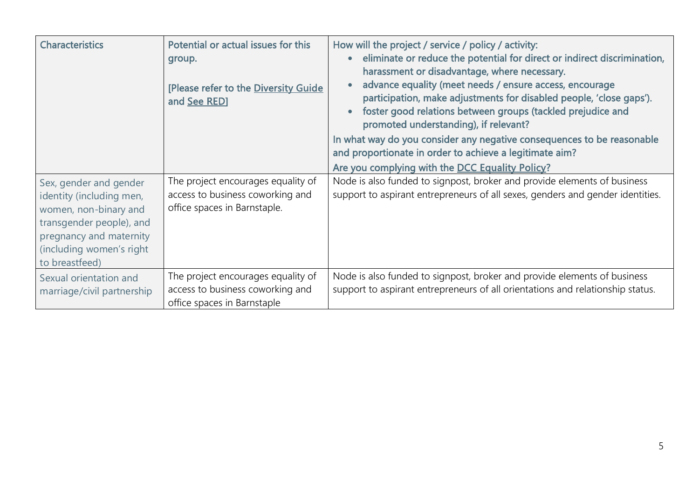| <b>Characteristics</b>                                                                                                                                                           | Potential or actual issues for this<br>group.<br>[Please refer to the Diversity Guide<br>and See RED]  | How will the project / service / policy / activity:<br>eliminate or reduce the potential for direct or indirect discrimination,<br>$\bullet$<br>harassment or disadvantage, where necessary.<br>advance equality (meet needs / ensure access, encourage<br>participation, make adjustments for disabled people, 'close gaps').<br>foster good relations between groups (tackled prejudice and<br>$\bullet$<br>promoted understanding), if relevant?<br>In what way do you consider any negative consequences to be reasonable<br>and proportionate in order to achieve a legitimate aim?<br>Are you complying with the DCC Equality Policy? |
|----------------------------------------------------------------------------------------------------------------------------------------------------------------------------------|--------------------------------------------------------------------------------------------------------|---------------------------------------------------------------------------------------------------------------------------------------------------------------------------------------------------------------------------------------------------------------------------------------------------------------------------------------------------------------------------------------------------------------------------------------------------------------------------------------------------------------------------------------------------------------------------------------------------------------------------------------------|
| Sex, gender and gender<br>identity (including men,<br>women, non-binary and<br>transgender people), and<br>pregnancy and maternity<br>(including women's right<br>to breastfeed) | The project encourages equality of<br>access to business coworking and<br>office spaces in Barnstaple. | Node is also funded to signpost, broker and provide elements of business<br>support to aspirant entrepreneurs of all sexes, genders and gender identities.                                                                                                                                                                                                                                                                                                                                                                                                                                                                                  |
| Sexual orientation and<br>marriage/civil partnership                                                                                                                             | The project encourages equality of<br>access to business coworking and<br>office spaces in Barnstaple  | Node is also funded to signpost, broker and provide elements of business<br>support to aspirant entrepreneurs of all orientations and relationship status.                                                                                                                                                                                                                                                                                                                                                                                                                                                                                  |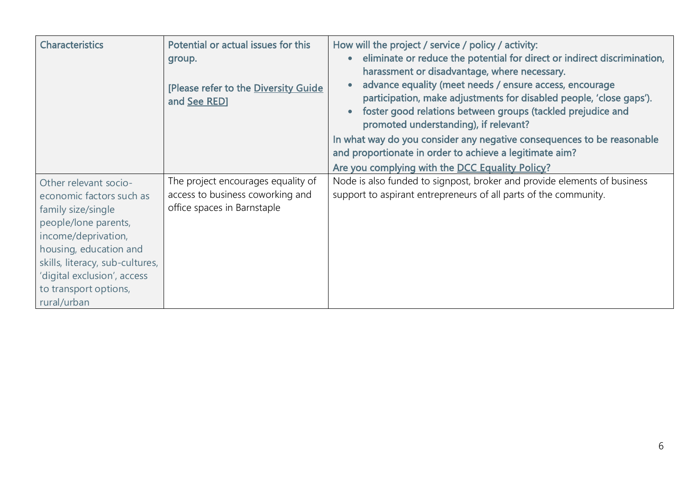| <b>Characteristics</b>                                                                                                                                                                                                                                     | Potential or actual issues for this<br>group.<br>[Please refer to the Diversity Guide<br>and See RED] | How will the project / service / policy / activity:<br>eliminate or reduce the potential for direct or indirect discrimination,<br>harassment or disadvantage, where necessary.<br>advance equality (meet needs / ensure access, encourage<br>participation, make adjustments for disabled people, 'close gaps').<br>foster good relations between groups (tackled prejudice and<br>promoted understanding), if relevant?<br>In what way do you consider any negative consequences to be reasonable<br>and proportionate in order to achieve a legitimate aim?<br>Are you complying with the DCC Equality Policy? |
|------------------------------------------------------------------------------------------------------------------------------------------------------------------------------------------------------------------------------------------------------------|-------------------------------------------------------------------------------------------------------|-------------------------------------------------------------------------------------------------------------------------------------------------------------------------------------------------------------------------------------------------------------------------------------------------------------------------------------------------------------------------------------------------------------------------------------------------------------------------------------------------------------------------------------------------------------------------------------------------------------------|
| Other relevant socio-<br>economic factors such as<br>family size/single<br>people/lone parents,<br>income/deprivation,<br>housing, education and<br>skills, literacy, sub-cultures,<br>'digital exclusion', access<br>to transport options,<br>rural/urban | The project encourages equality of<br>access to business coworking and<br>office spaces in Barnstaple | Node is also funded to signpost, broker and provide elements of business<br>support to aspirant entrepreneurs of all parts of the community.                                                                                                                                                                                                                                                                                                                                                                                                                                                                      |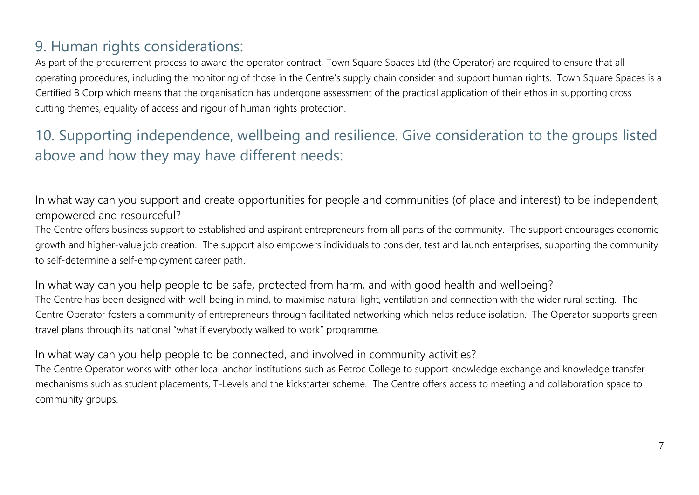### 9. Human rights considerations:

As part of the procurement process to award the operator contract, Town Square Spaces Ltd (the Operator) are required to ensure that all operating procedures, including the monitoring of those in the Centre's supply chain consider and support human rights. Town Square Spaces is a Certified B Corp which means that the organisation has undergone assessment of the practical application of their ethos in supporting cross cutting themes, equality of access and rigour of human rights protection.

# 10. Supporting independence, wellbeing and resilience. Give consideration to the groups listed above and how they may have different needs:

In what way can you support and create opportunities for people and communities (of place and interest) to be independent, empowered and resourceful?

The Centre offers business support to established and aspirant entrepreneurs from all parts of the community. The support encourages economic growth and higher-value job creation. The support also empowers individuals to consider, test and launch enterprises, supporting the community to self-determine a self-employment career path.

In what way can you help people to be safe, protected from harm, and with good health and wellbeing? The Centre has been designed with well-being in mind, to maximise natural light, ventilation and connection with the wider rural setting. The Centre Operator fosters a community of entrepreneurs through facilitated networking which helps reduce isolation. The Operator supports green travel plans through its national "what if everybody walked to work" programme.

#### In what way can you help people to be connected, and involved in community activities?

The Centre Operator works with other local anchor institutions such as Petroc College to support knowledge exchange and knowledge transfer mechanisms such as student placements, T-Levels and the kickstarter scheme. The Centre offers access to meeting and collaboration space to community groups.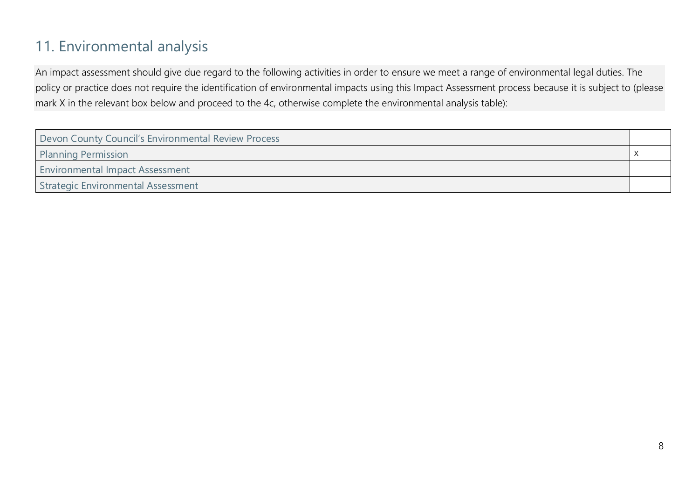# 11. Environmental analysis

An impact assessment should give due regard to the following activities in order to ensure we meet a range of environmental legal duties. The policy or practice does not require the identification of environmental impacts using this Impact Assessment process because it is subject to (please mark X in the relevant box below and proceed to the 4c, otherwise complete the environmental analysis table):

| Devon County Council's Environmental Review Process |  |
|-----------------------------------------------------|--|
| <b>Planning Permission</b>                          |  |
| <b>Environmental Impact Assessment</b>              |  |
| Strategic Environmental Assessment                  |  |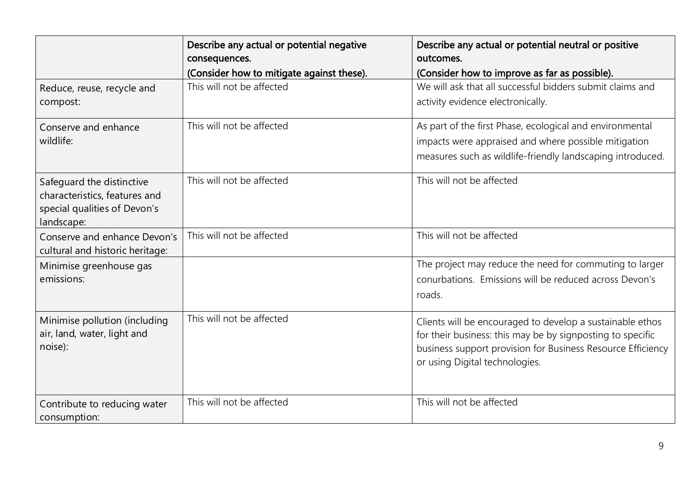|                                                                                                          | Describe any actual or potential negative<br>consequences. | Describe any actual or potential neutral or positive<br>outcomes.                                                                                                                                                        |
|----------------------------------------------------------------------------------------------------------|------------------------------------------------------------|--------------------------------------------------------------------------------------------------------------------------------------------------------------------------------------------------------------------------|
|                                                                                                          | (Consider how to mitigate against these).                  | (Consider how to improve as far as possible).                                                                                                                                                                            |
| Reduce, reuse, recycle and<br>compost:                                                                   | This will not be affected                                  | We will ask that all successful bidders submit claims and<br>activity evidence electronically.                                                                                                                           |
| Conserve and enhance<br>wildlife:                                                                        | This will not be affected                                  | As part of the first Phase, ecological and environmental<br>impacts were appraised and where possible mitigation<br>measures such as wildlife-friendly landscaping introduced.                                           |
| Safequard the distinctive<br>characteristics, features and<br>special qualities of Devon's<br>landscape: | This will not be affected                                  | This will not be affected                                                                                                                                                                                                |
| Conserve and enhance Devon's<br>cultural and historic heritage:                                          | This will not be affected                                  | This will not be affected                                                                                                                                                                                                |
| Minimise greenhouse gas<br>emissions:                                                                    |                                                            | The project may reduce the need for commuting to larger<br>conurbations. Emissions will be reduced across Devon's<br>roads.                                                                                              |
| Minimise pollution (including<br>air, land, water, light and<br>noise):                                  | This will not be affected                                  | Clients will be encouraged to develop a sustainable ethos<br>for their business: this may be by signposting to specific<br>business support provision for Business Resource Efficiency<br>or using Digital technologies. |
| Contribute to reducing water<br>consumption:                                                             | This will not be affected                                  | This will not be affected                                                                                                                                                                                                |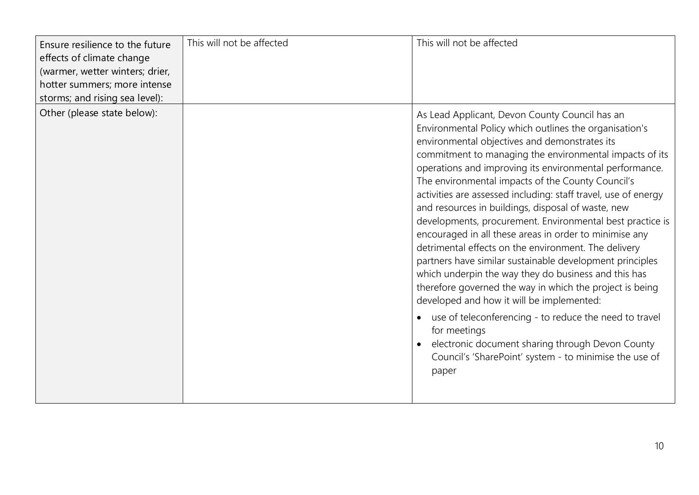| Ensure resilience to the future<br>effects of climate change<br>(warmer, wetter winters; drier,<br>hotter summers; more intense<br>storms; and rising sea level): | This will not be affected | This will not be affected                                                                                                                                                                                                                                                                                                                                                                                                                                                                                                                                                                                                                                                                                                                                                                                                                                                                                                                                                                                                                                                 |
|-------------------------------------------------------------------------------------------------------------------------------------------------------------------|---------------------------|---------------------------------------------------------------------------------------------------------------------------------------------------------------------------------------------------------------------------------------------------------------------------------------------------------------------------------------------------------------------------------------------------------------------------------------------------------------------------------------------------------------------------------------------------------------------------------------------------------------------------------------------------------------------------------------------------------------------------------------------------------------------------------------------------------------------------------------------------------------------------------------------------------------------------------------------------------------------------------------------------------------------------------------------------------------------------|
| Other (please state below):                                                                                                                                       |                           | As Lead Applicant, Devon County Council has an<br>Environmental Policy which outlines the organisation's<br>environmental objectives and demonstrates its<br>commitment to managing the environmental impacts of its<br>operations and improving its environmental performance.<br>The environmental impacts of the County Council's<br>activities are assessed including: staff travel, use of energy<br>and resources in buildings, disposal of waste, new<br>developments, procurement. Environmental best practice is<br>encouraged in all these areas in order to minimise any<br>detrimental effects on the environment. The delivery<br>partners have similar sustainable development principles<br>which underpin the way they do business and this has<br>therefore governed the way in which the project is being<br>developed and how it will be implemented:<br>use of teleconferencing - to reduce the need to travel<br>for meetings<br>electronic document sharing through Devon County<br>Council's 'SharePoint' system - to minimise the use of<br>paper |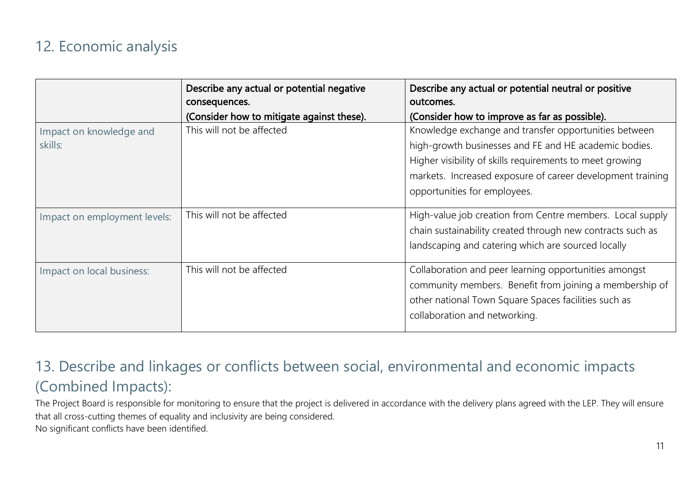#### 12. Economic analysis

|                              | Describe any actual or potential negative | Describe any actual or potential neutral or positive                                                                                                                                                      |
|------------------------------|-------------------------------------------|-----------------------------------------------------------------------------------------------------------------------------------------------------------------------------------------------------------|
|                              | consequences.                             | outcomes.                                                                                                                                                                                                 |
|                              | (Consider how to mitigate against these). | (Consider how to improve as far as possible).                                                                                                                                                             |
| Impact on knowledge and      | This will not be affected                 | Knowledge exchange and transfer opportunities between                                                                                                                                                     |
| skills:                      |                                           | high-growth businesses and FE and HE academic bodies.                                                                                                                                                     |
|                              |                                           | Higher visibility of skills requirements to meet growing                                                                                                                                                  |
|                              |                                           | markets. Increased exposure of career development training                                                                                                                                                |
|                              |                                           | opportunities for employees.                                                                                                                                                                              |
| Impact on employment levels: | This will not be affected                 | High-value job creation from Centre members. Local supply<br>chain sustainability created through new contracts such as<br>landscaping and catering which are sourced locally                             |
| Impact on local business:    | This will not be affected                 | Collaboration and peer learning opportunities amongst<br>community members. Benefit from joining a membership of<br>other national Town Square Spaces facilities such as<br>collaboration and networking. |

#### 13. Describe and linkages or conflicts between social, environmental and economic impacts (Combined Impacts):

The Project Board is responsible for monitoring to ensure that the project is delivered in accordance with the delivery plans agreed with the LEP. They will ensure that all cross-cutting themes of equality and inclusivity are being considered. No significant conflicts have been identified.